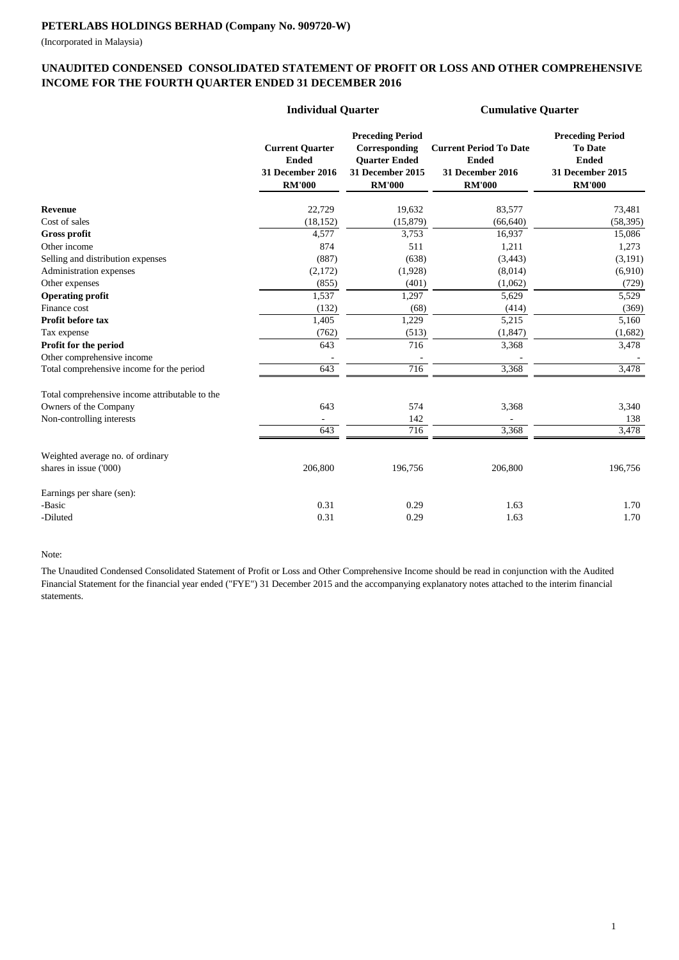(Incorporated in Malaysia)

|                                                | <b>Individual Quarter</b>                                                          |                                                                                                       | <b>Cumulative Quarter</b>                                                                 |                                                                                                |  |
|------------------------------------------------|------------------------------------------------------------------------------------|-------------------------------------------------------------------------------------------------------|-------------------------------------------------------------------------------------------|------------------------------------------------------------------------------------------------|--|
|                                                | <b>Current Quarter</b><br><b>Ended</b><br><b>31 December 2016</b><br><b>RM'000</b> | <b>Preceding Period</b><br>Corresponding<br><b>Quarter Ended</b><br>31 December 2015<br><b>RM'000</b> | <b>Current Period To Date</b><br><b>Ended</b><br><b>31 December 2016</b><br><b>RM'000</b> | <b>Preceding Period</b><br><b>To Date</b><br><b>Ended</b><br>31 December 2015<br><b>RM'000</b> |  |
| <b>Revenue</b>                                 | 22,729                                                                             | 19,632                                                                                                | 83,577                                                                                    | 73,481                                                                                         |  |
| Cost of sales                                  | (18, 152)                                                                          | (15, 879)                                                                                             | (66, 640)                                                                                 | (58, 395)                                                                                      |  |
| <b>Gross profit</b>                            | 4,577                                                                              | 3,753                                                                                                 | 16,937                                                                                    | 15,086                                                                                         |  |
| Other income                                   | 874                                                                                | 511                                                                                                   | 1,211                                                                                     | 1,273                                                                                          |  |
| Selling and distribution expenses              | (887)                                                                              | (638)                                                                                                 | (3, 443)                                                                                  | (3,191)                                                                                        |  |
| Administration expenses                        | (2,172)                                                                            | (1,928)                                                                                               | (8,014)                                                                                   | (6,910)                                                                                        |  |
| Other expenses                                 | (855)                                                                              | (401)                                                                                                 | (1,062)                                                                                   | (729)                                                                                          |  |
| <b>Operating profit</b>                        | 1,537                                                                              | 1,297                                                                                                 | 5,629                                                                                     | 5,529                                                                                          |  |
| Finance cost                                   | (132)                                                                              | (68)                                                                                                  | (414)                                                                                     | (369)                                                                                          |  |
| Profit before tax                              | 1,405                                                                              | 1,229                                                                                                 | 5,215                                                                                     | 5,160                                                                                          |  |
| Tax expense                                    | (762)                                                                              | (513)                                                                                                 | (1, 847)                                                                                  | (1,682)                                                                                        |  |
| Profit for the period                          | 643                                                                                | 716                                                                                                   | 3,368                                                                                     | 3,478                                                                                          |  |
| Other comprehensive income                     |                                                                                    |                                                                                                       |                                                                                           |                                                                                                |  |
| Total comprehensive income for the period      | 643                                                                                | 716                                                                                                   | 3,368                                                                                     | 3,478                                                                                          |  |
| Total comprehensive income attributable to the |                                                                                    |                                                                                                       |                                                                                           |                                                                                                |  |
| Owners of the Company                          | 643                                                                                | 574                                                                                                   | 3,368                                                                                     | 3,340                                                                                          |  |
| Non-controlling interests                      |                                                                                    | 142                                                                                                   |                                                                                           | 138                                                                                            |  |
|                                                | 643                                                                                | 716                                                                                                   | 3,368                                                                                     | 3,478                                                                                          |  |
| Weighted average no. of ordinary               |                                                                                    |                                                                                                       |                                                                                           |                                                                                                |  |
| shares in issue ('000)                         | 206,800                                                                            | 196,756                                                                                               | 206,800                                                                                   | 196,756                                                                                        |  |
| Earnings per share (sen):                      |                                                                                    |                                                                                                       |                                                                                           |                                                                                                |  |
| -Basic                                         | 0.31                                                                               | 0.29                                                                                                  | 1.63                                                                                      | 1.70                                                                                           |  |
| -Diluted                                       | 0.31                                                                               | 0.29                                                                                                  | 1.63                                                                                      | 1.70                                                                                           |  |

## **UNAUDITED CONDENSED CONSOLIDATED STATEMENT OF PROFIT OR LOSS AND OTHER COMPREHENSIVE INCOME FOR THE FOURTH QUARTER ENDED 31 DECEMBER 2016**

Note:

# **PETERLABS HOLDINGS BERHAD (Company No. 909720-W)**

The Unaudited Condensed Consolidated Statement of Profit or Loss and Other Comprehensive Income should be read in conjunction with the Audited Financial Statement for the financial year ended ("FYE") 31 December 2015 and the accompanying explanatory notes attached to the interim financial statements.

 $1\,$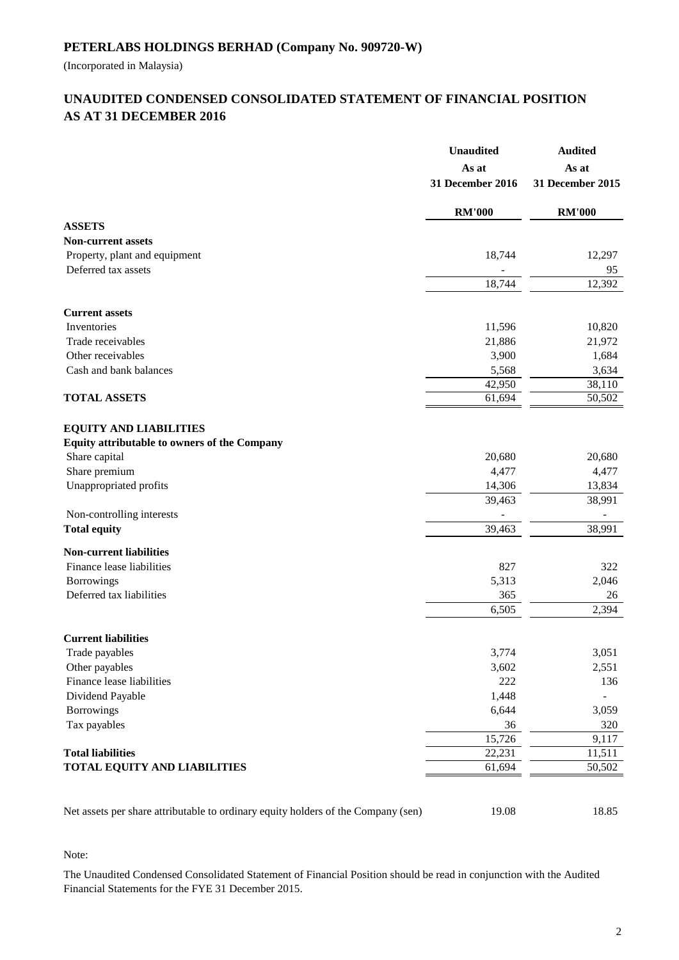(Incorporated in Malaysia)

# **AS AT 31 DECEMBER 2016 UNAUDITED CONDENSED CONSOLIDATED STATEMENT OF FINANCIAL POSITION**

|                                                                                   | <b>Unaudited</b><br>As at<br><b>31 December 2016</b> | <b>Audited</b><br>As at<br><b>31 December 2015</b> |
|-----------------------------------------------------------------------------------|------------------------------------------------------|----------------------------------------------------|
|                                                                                   | <b>RM'000</b>                                        | <b>RM'000</b>                                      |
| <b>ASSETS</b>                                                                     |                                                      |                                                    |
| <b>Non-current assets</b>                                                         |                                                      |                                                    |
| Property, plant and equipment                                                     | 18,744                                               | 12,297                                             |
| Deferred tax assets                                                               | 18,744                                               | 95<br>12,392                                       |
| <b>Current assets</b>                                                             |                                                      |                                                    |
| Inventories                                                                       | 11,596                                               | 10,820                                             |
| Trade receivables                                                                 | 21,886                                               | 21,972                                             |
| Other receivables                                                                 | 3,900                                                | 1,684                                              |
| Cash and bank balances                                                            | 5,568                                                | 3,634                                              |
|                                                                                   | 42,950                                               | 38,110                                             |
| <b>TOTAL ASSETS</b>                                                               | 61,694                                               | 50,502                                             |
| <b>EQUITY AND LIABILITIES</b>                                                     |                                                      |                                                    |
| Equity attributable to owners of the Company                                      |                                                      |                                                    |
| Share capital                                                                     | 20,680                                               | 20,680                                             |
| Share premium                                                                     | 4,477                                                | 4,477                                              |
| Unappropriated profits                                                            | 14,306                                               | 13,834                                             |
|                                                                                   | 39,463                                               | 38,991                                             |
| Non-controlling interests<br><b>Total equity</b>                                  | 39,463                                               | 38,991                                             |
| <b>Non-current liabilities</b>                                                    |                                                      |                                                    |
| Finance lease liabilities                                                         | 827                                                  | 322                                                |
| Borrowings                                                                        | 5,313                                                | 2,046                                              |
| Deferred tax liabilities                                                          | 365                                                  | 26                                                 |
|                                                                                   | 6,505                                                | 2,394                                              |
| <b>Current liabilities</b>                                                        |                                                      |                                                    |
| Trade payables                                                                    | 3,774                                                | 3,051                                              |
| Other payables                                                                    | 3,602                                                | 2,551                                              |
| Finance lease liabilities                                                         | 222                                                  | 136                                                |
| Dividend Payable                                                                  | 1,448                                                |                                                    |
| <b>Borrowings</b>                                                                 | 6,644                                                | 3,059                                              |
| Tax payables                                                                      | 36                                                   | 320                                                |
|                                                                                   | 15,726                                               | 9,117                                              |
| <b>Total liabilities</b>                                                          | 22,231                                               | 11,511                                             |
| TOTAL EQUITY AND LIABILITIES                                                      | 61,694                                               | 50,502                                             |
| Net assets per share attributable to ordinary equity holders of the Company (sen) | 19.08                                                | 18.85                                              |
|                                                                                   |                                                      |                                                    |

## Note:

The Unaudited Condensed Consolidated Statement of Financial Position should be read in conjunction with the Audited Financial Statements for the FYE 31 December 2015.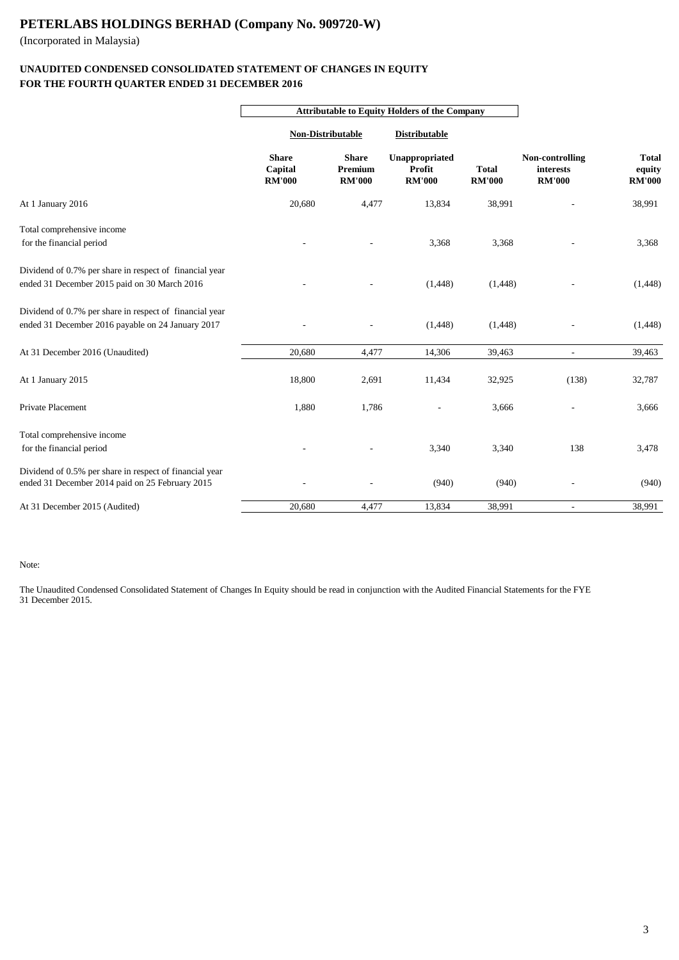(Incorporated in Malaysia)

## **FOR THE FOURTH QUARTER ENDED 31 DECEMBER 2016 UNAUDITED CONDENSED CONSOLIDATED STATEMENT OF CHANGES IN EQUITY**

|                                                                                                              | <b>Attributable to Equity Holders of the Company</b> |                                          |                                                  |                               |                                               |                                         |
|--------------------------------------------------------------------------------------------------------------|------------------------------------------------------|------------------------------------------|--------------------------------------------------|-------------------------------|-----------------------------------------------|-----------------------------------------|
|                                                                                                              | <b>Non-Distributable</b>                             |                                          | <b>Distributable</b>                             |                               |                                               |                                         |
|                                                                                                              | <b>Share</b><br>Capital<br><b>RM'000</b>             | <b>Share</b><br>Premium<br><b>RM'000</b> | Unappropriated<br><b>Profit</b><br><b>RM'000</b> | <b>Total</b><br><b>RM'000</b> | Non-controlling<br>interests<br><b>RM'000</b> | <b>Total</b><br>equity<br><b>RM'000</b> |
| At 1 January 2016                                                                                            | 20,680                                               | 4,477                                    | 13,834                                           | 38,991                        |                                               | 38,991                                  |
| Total comprehensive income<br>for the financial period                                                       |                                                      |                                          | 3,368                                            | 3,368                         |                                               | 3,368                                   |
| Dividend of 0.7% per share in respect of financial year<br>ended 31 December 2015 paid on 30 March 2016      |                                                      |                                          | (1, 448)                                         | (1, 448)                      |                                               | (1, 448)                                |
| Dividend of 0.7% per share in respect of financial year<br>ended 31 December 2016 payable on 24 January 2017 |                                                      |                                          | (1,448)                                          | (1, 448)                      |                                               | (1, 448)                                |
| At 31 December 2016 (Unaudited)                                                                              | 20,680                                               | 4,477                                    | 14,306                                           | 39,463                        | $\overline{\phantom{a}}$                      | 39,463                                  |
| At 1 January 2015                                                                                            | 18,800                                               | 2,691                                    | 11,434                                           | 32,925                        | (138)                                         | 32,787                                  |
| Private Placement                                                                                            | 1,880                                                | 1,786                                    |                                                  | 3,666                         |                                               | 3,666                                   |
| Total comprehensive income<br>for the financial period                                                       |                                                      |                                          | 3,340                                            | 3,340                         | 138                                           | 3,478                                   |
| Dividend of 0.5% per share in respect of financial year<br>ended 31 December 2014 paid on 25 February 2015   |                                                      |                                          | (940)                                            | (940)                         |                                               | (940)                                   |
| At 31 December 2015 (Audited)                                                                                | 20,680                                               | 4,477                                    | 13,834                                           | 38,991                        | $\sim$                                        | 38,991                                  |

Note:

The Unaudited Condensed Consolidated Statement of Changes In Equity should be read in conjunction with the Audited Financial Statements for the FYE 31 December 2015.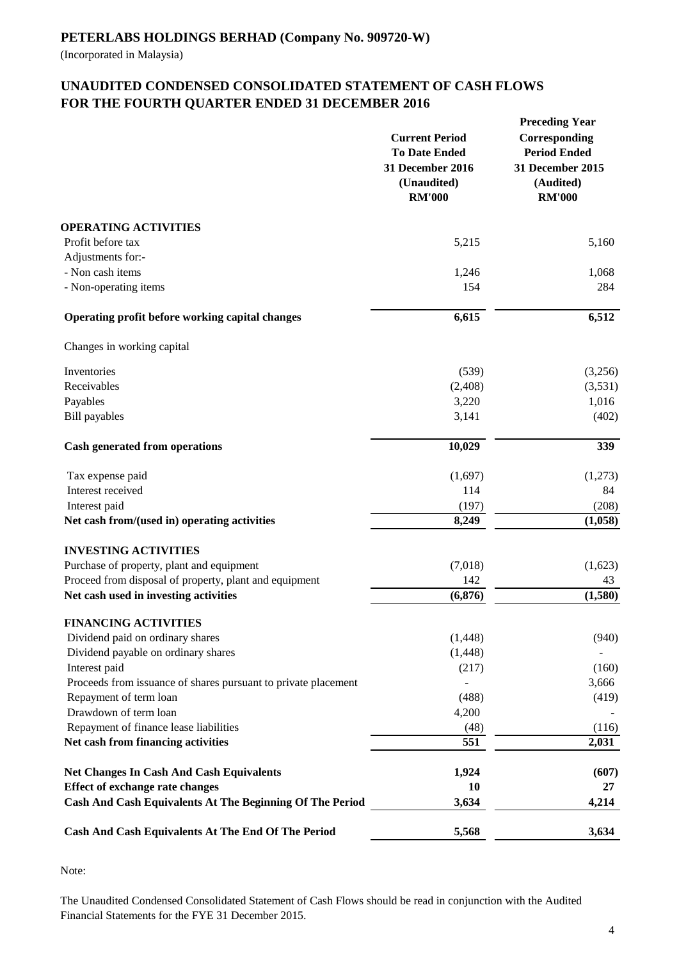(Incorporated in Malaysia)

## **UNAUDITED CONDENSED CONSOLIDATED STATEMENT OF CASH FLOWS FOR THE FOURTH QUARTER ENDED 31 DECEMBER 2016**

|                                                                | <b>Current Period</b><br><b>To Date Ended</b><br><b>31 December 2016</b><br>(Unaudited)<br><b>RM'000</b> | <b>Preceding Year</b><br>Corresponding<br><b>Period Ended</b><br><b>31 December 2015</b><br>(Audited)<br><b>RM'000</b> |
|----------------------------------------------------------------|----------------------------------------------------------------------------------------------------------|------------------------------------------------------------------------------------------------------------------------|
| <b>OPERATING ACTIVITIES</b>                                    |                                                                                                          |                                                                                                                        |
| Profit before tax                                              | 5,215                                                                                                    | 5,160                                                                                                                  |
| Adjustments for:-                                              |                                                                                                          |                                                                                                                        |
| - Non cash items                                               | 1,246                                                                                                    | 1,068                                                                                                                  |
| - Non-operating items                                          | 154                                                                                                      | 284                                                                                                                    |
| Operating profit before working capital changes                | 6,615                                                                                                    | 6,512                                                                                                                  |
| Changes in working capital                                     |                                                                                                          |                                                                                                                        |
| Inventories                                                    | (539)                                                                                                    | (3,256)                                                                                                                |
| Receivables                                                    | (2,408)                                                                                                  | (3,531)                                                                                                                |
| Payables                                                       | 3,220                                                                                                    | 1,016                                                                                                                  |
| <b>Bill</b> payables                                           | 3,141                                                                                                    | (402)                                                                                                                  |
| <b>Cash generated from operations</b>                          | 10,029                                                                                                   | 339                                                                                                                    |
| Tax expense paid                                               | (1,697)                                                                                                  | (1,273)                                                                                                                |
| Interest received                                              | 114                                                                                                      | 84                                                                                                                     |
| Interest paid                                                  | (197)                                                                                                    | (208)                                                                                                                  |
| Net cash from/(used in) operating activities                   | 8,249                                                                                                    | (1,058)                                                                                                                |
| <b>INVESTING ACTIVITIES</b>                                    |                                                                                                          |                                                                                                                        |
| Purchase of property, plant and equipment                      | (7,018)                                                                                                  | (1,623)                                                                                                                |
| Proceed from disposal of property, plant and equipment         | 142                                                                                                      | 43                                                                                                                     |
| Net cash used in investing activities                          | (6, 876)                                                                                                 | (1,580)                                                                                                                |
| <b>FINANCING ACTIVITIES</b>                                    |                                                                                                          |                                                                                                                        |
| Dividend paid on ordinary shares                               | (1,448)                                                                                                  | (940)                                                                                                                  |
| Dividend payable on ordinary shares                            | (1,448)                                                                                                  |                                                                                                                        |
| Interest paid                                                  | (217)                                                                                                    | (160)                                                                                                                  |
| Proceeds from issuance of shares pursuant to private placement |                                                                                                          | 3,666                                                                                                                  |
| Repayment of term loan                                         | (488)                                                                                                    | (419)                                                                                                                  |
| Drawdown of term loan                                          | 4,200                                                                                                    |                                                                                                                        |
| Repayment of finance lease liabilities                         | (48)                                                                                                     | (116)                                                                                                                  |
| Net cash from financing activities                             | 551                                                                                                      | 2,031                                                                                                                  |
| <b>Net Changes In Cash And Cash Equivalents</b>                | 1,924                                                                                                    | (607)                                                                                                                  |
| <b>Effect of exchange rate changes</b>                         | 10                                                                                                       | 27                                                                                                                     |
| Cash And Cash Equivalents At The Beginning Of The Period       | 3,634                                                                                                    | 4,214                                                                                                                  |
| Cash And Cash Equivalents At The End Of The Period             | 5,568                                                                                                    | 3,634                                                                                                                  |

Note:

The Unaudited Condensed Consolidated Statement of Cash Flows should be read in conjunction with the Audited Financial Statements for the FYE 31 December 2015.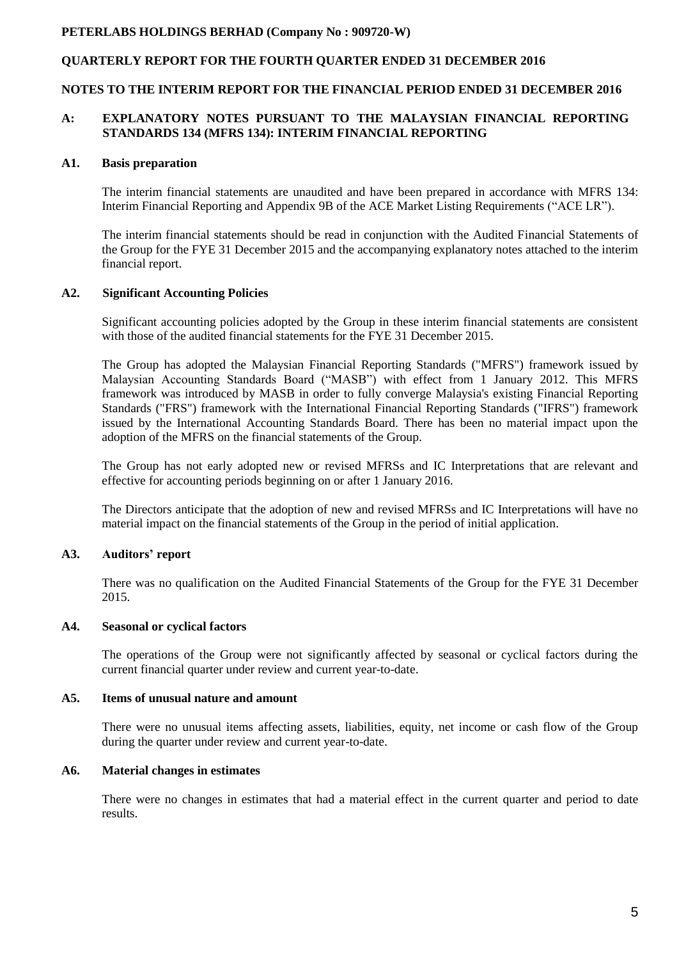## **QUARTERLY REPORT FOR THE FOURTH QUARTER ENDED 31 DECEMBER 2016**

#### **NOTES TO THE INTERIM REPORT FOR THE FINANCIAL PERIOD ENDED 31 DECEMBER 2016**

### **A: EXPLANATORY NOTES PURSUANT TO THE MALAYSIAN FINANCIAL REPORTING STANDARDS 134 (MFRS 134): INTERIM FINANCIAL REPORTING**

#### **A1. Basis preparation**

The interim financial statements are unaudited and have been prepared in accordance with MFRS 134: Interim Financial Reporting and Appendix 9B of the ACE Market Listing Requirements ("ACE LR").

The interim financial statements should be read in conjunction with the Audited Financial Statements of the Group for the FYE 31 December 2015 and the accompanying explanatory notes attached to the interim financial report.

#### **A2. Significant Accounting Policies**

Significant accounting policies adopted by the Group in these interim financial statements are consistent with those of the audited financial statements for the FYE 31 December 2015.

The Group has adopted the Malaysian Financial Reporting Standards ("MFRS") framework issued by Malaysian Accounting Standards Board ("MASB") with effect from 1 January 2012. This MFRS framework was introduced by MASB in order to fully converge Malaysia's existing Financial Reporting Standards ("FRS") framework with the International Financial Reporting Standards ("IFRS") framework issued by the International Accounting Standards Board. There has been no material impact upon the adoption of the MFRS on the financial statements of the Group.

The Group has not early adopted new or revised MFRSs and IC Interpretations that are relevant and effective for accounting periods beginning on or after 1 January 2016.

The Directors anticipate that the adoption of new and revised MFRSs and IC Interpretations will have no material impact on the financial statements of the Group in the period of initial application.

#### **A3. Auditors' report**

There was no qualification on the Audited Financial Statements of the Group for the FYE 31 December 2015.

#### **A4. Seasonal or cyclical factors**

The operations of the Group were not significantly affected by seasonal or cyclical factors during the current financial quarter under review and current year-to-date.

#### **A5. Items of unusual nature and amount**

There were no unusual items affecting assets, liabilities, equity, net income or cash flow of the Group during the quarter under review and current year-to-date.

### **A6. Material changes in estimates**

There were no changes in estimates that had a material effect in the current quarter and period to date results.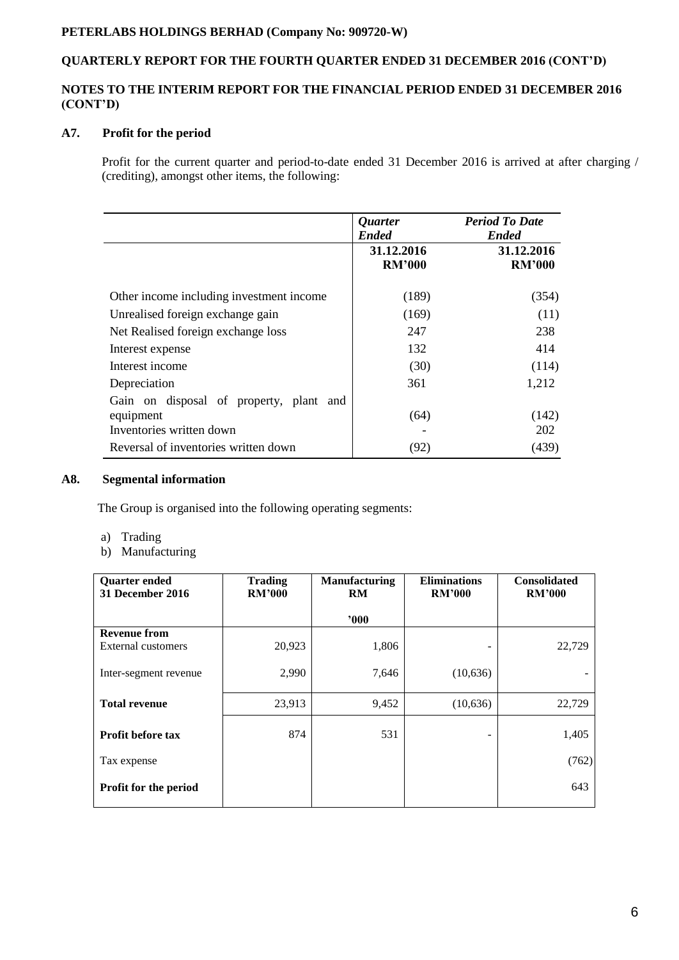## **QUARTERLY REPORT FOR THE FOURTH QUARTER ENDED 31 DECEMBER 2016 (CONT'D)**

## **NOTES TO THE INTERIM REPORT FOR THE FINANCIAL PERIOD ENDED 31 DECEMBER 2016 (CONT'D)**

## **A7. Profit for the period**

Profit for the current quarter and period-to-date ended 31 December 2016 is arrived at after charging / (crediting), amongst other items, the following:

|                                          | Quarter<br><b>Ended</b>     | <b>Period To Date</b><br><b>Ended</b> |
|------------------------------------------|-----------------------------|---------------------------------------|
|                                          | 31.12.2016<br><b>RM'000</b> | 31.12.2016<br><b>RM'000</b>           |
| Other income including investment income | (189)                       | (354)                                 |
| Unrealised foreign exchange gain         | (169)                       | (11)                                  |
| Net Realised foreign exchange loss       | 247                         | 238                                   |
| Interest expense                         | 132                         | 414                                   |
| Interest income                          | (30)                        | (114)                                 |
| Depreciation                             | 361                         | 1,212                                 |
| Gain on disposal of property, plant and  |                             |                                       |
| equipment                                | (64)                        | (142)                                 |
| Inventories written down                 |                             | 202                                   |
| Reversal of inventories written down     | (92)                        | (439)                                 |

#### **A8. Segmental information**

The Group is organised into the following operating segments:

- a) Trading
- b) Manufacturing

| <b>Quarter ended</b><br><b>31 December 2016</b> | <b>Trading</b><br><b>RM'000</b> | <b>Manufacturing</b><br>RM | <b>Eliminations</b><br><b>RM'000</b> | Consolidated<br><b>RM'000</b> |
|-------------------------------------------------|---------------------------------|----------------------------|--------------------------------------|-------------------------------|
|                                                 |                                 | .000                       |                                      |                               |
| <b>Revenue from</b>                             |                                 |                            |                                      |                               |
| External customers                              | 20,923                          | 1,806                      |                                      | 22,729                        |
| Inter-segment revenue                           | 2,990                           | 7,646                      | (10, 636)                            |                               |
| <b>Total revenue</b>                            | 23,913                          | 9,452                      | (10,636)                             | 22,729                        |
| <b>Profit before tax</b>                        | 874                             | 531                        | -                                    | 1,405                         |
| Tax expense                                     |                                 |                            |                                      | (762)                         |
| Profit for the period                           |                                 |                            |                                      | 643                           |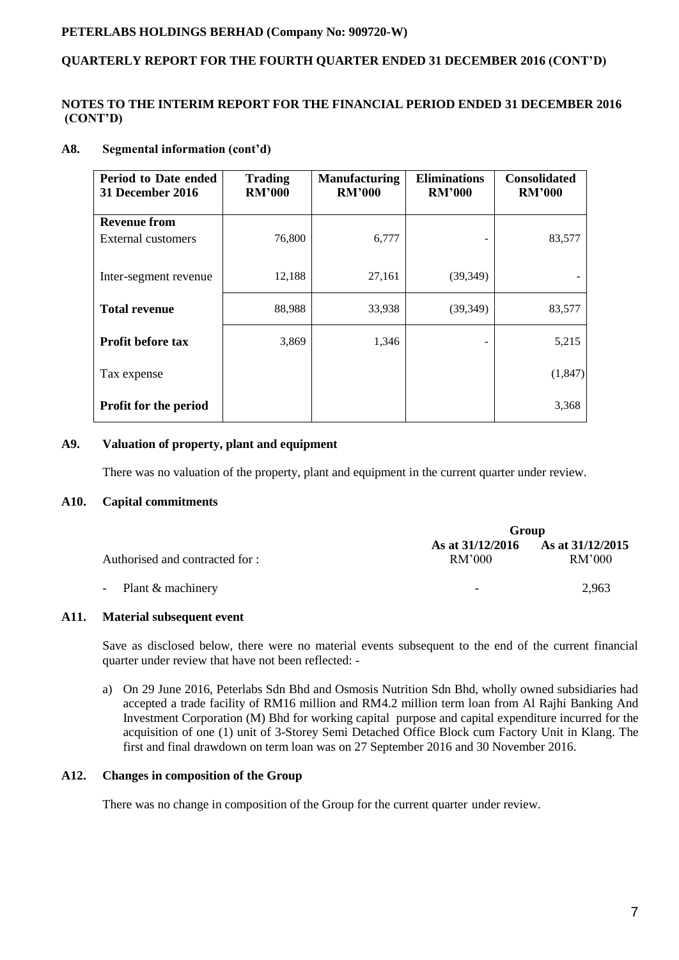## **QUARTERLY REPORT FOR THE FOURTH QUARTER ENDED 31 DECEMBER 2016 (CONT'D)**

## **NOTES TO THE INTERIM REPORT FOR THE FINANCIAL PERIOD ENDED 31 DECEMBER 2016 (CONT'D)**

#### **A8. Segmental information (cont'd)**

| <b>Period to Date ended</b><br><b>31 December 2016</b> | <b>Trading</b><br><b>RM'000</b> | <b>Manufacturing</b><br><b>RM'000</b> | <b>Eliminations</b><br><b>RM'000</b> | <b>Consolidated</b><br><b>RM'000</b> |
|--------------------------------------------------------|---------------------------------|---------------------------------------|--------------------------------------|--------------------------------------|
| <b>Revenue from</b>                                    |                                 |                                       |                                      |                                      |
| <b>External customers</b>                              | 76,800                          | 6,777                                 |                                      | 83,577                               |
|                                                        |                                 |                                       |                                      |                                      |
| Inter-segment revenue                                  | 12,188                          | 27,161                                | (39, 349)                            |                                      |
| <b>Total revenue</b>                                   | 88,988                          | 33,938                                | (39, 349)                            | 83,577                               |
| <b>Profit before tax</b>                               | 3,869                           | 1,346                                 |                                      | 5,215                                |
| Tax expense                                            |                                 |                                       |                                      | (1, 847)                             |
| <b>Profit for the period</b>                           |                                 |                                       |                                      | 3,368                                |

## **A9. Valuation of property, plant and equipment**

There was no valuation of the property, plant and equipment in the current quarter under review.

#### **A10. Capital commitments**

|                                 | Group                      |                            |  |
|---------------------------------|----------------------------|----------------------------|--|
| Authorised and contracted for : | As at 31/12/2016<br>RM'000 | As at 31/12/2015<br>RM'000 |  |
| - Plant $&$ machinery           | $\overline{\phantom{0}}$   | 2,963                      |  |

## **A11. Material subsequent event**

Save as disclosed below, there were no material events subsequent to the end of the current financial quarter under review that have not been reflected: -

a) On 29 June 2016, Peterlabs Sdn Bhd and Osmosis Nutrition Sdn Bhd, wholly owned subsidiaries had accepted a trade facility of RM16 million and RM4.2 million term loan from Al Rajhi Banking And Investment Corporation (M) Bhd for working capital purpose and capital expenditure incurred for the acquisition of one (1) unit of 3-Storey Semi Detached Office Block cum Factory Unit in Klang. The first and final drawdown on term loan was on 27 September 2016 and 30 November 2016.

### **A12. Changes in composition of the Group**

There was no change in composition of the Group for the current quarter under review.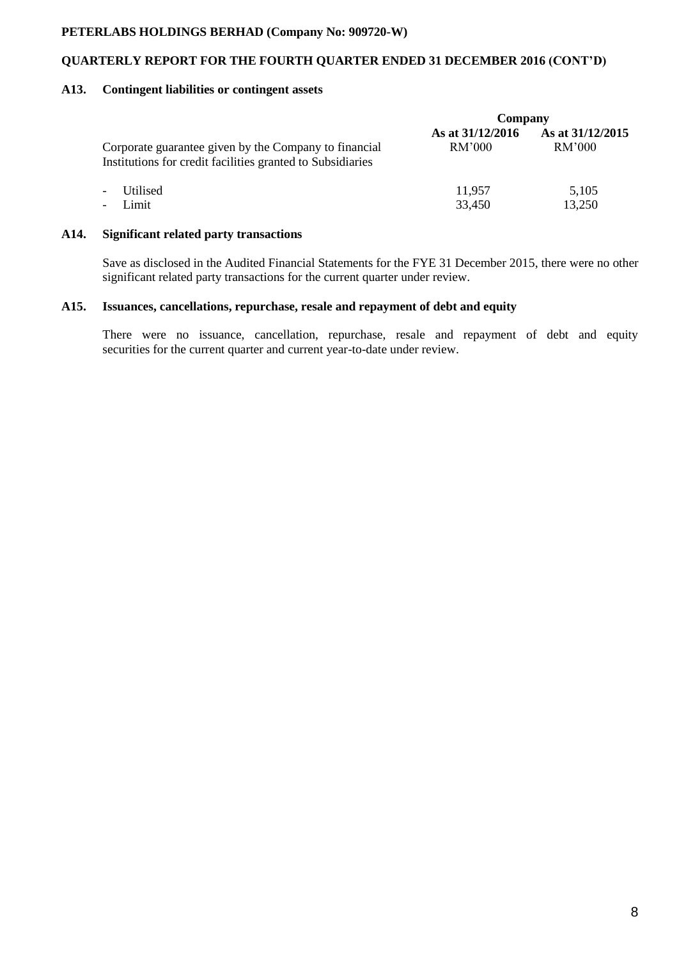## **QUARTERLY REPORT FOR THE FOURTH QUARTER ENDED 31 DECEMBER 2016 (CONT'D)**

#### **A13. Contingent liabilities or contingent assets**

|                                                                                                                     | Company                    |                            |  |
|---------------------------------------------------------------------------------------------------------------------|----------------------------|----------------------------|--|
| Corporate guarantee given by the Company to financial<br>Institutions for credit facilities granted to Subsidiaries | As at 31/12/2016<br>RM'000 | As at 31/12/2015<br>RM'000 |  |
| <b>Utilised</b><br>$\overline{\phantom{a}}$                                                                         | 11,957                     | 5,105                      |  |
| Limit<br>$\overline{\phantom{a}}$                                                                                   | 33,450                     | 13,250                     |  |
|                                                                                                                     |                            |                            |  |

## **A14. Significant related party transactions**

Save as disclosed in the Audited Financial Statements for the FYE 31 December 2015, there were no other significant related party transactions for the current quarter under review.

## **A15. Issuances, cancellations, repurchase, resale and repayment of debt and equity**

There were no issuance, cancellation, repurchase, resale and repayment of debt and equity securities for the current quarter and current year-to-date under review.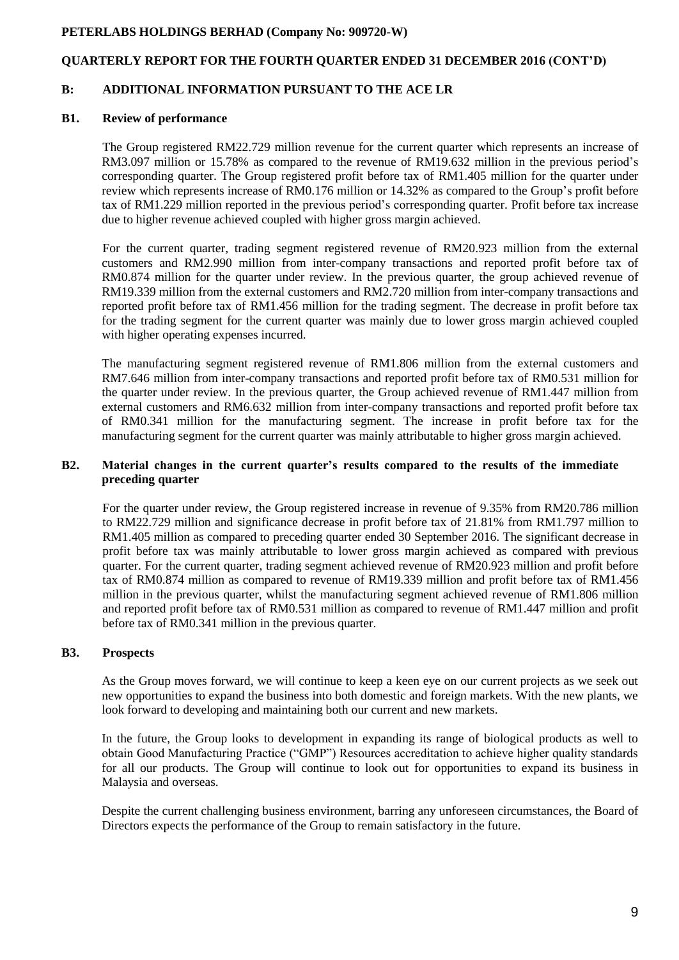## **QUARTERLY REPORT FOR THE FOURTH QUARTER ENDED 31 DECEMBER 2016 (CONT'D)**

### **B: ADDITIONAL INFORMATION PURSUANT TO THE ACE LR**

#### **B1. Review of performance**

The Group registered RM22.729 million revenue for the current quarter which represents an increase of RM3.097 million or 15.78% as compared to the revenue of RM19.632 million in the previous period's corresponding quarter. The Group registered profit before tax of RM1.405 million for the quarter under review which represents increase of RM0.176 million or 14.32% as compared to the Group's profit before tax of RM1.229 million reported in the previous period's corresponding quarter. Profit before tax increase due to higher revenue achieved coupled with higher gross margin achieved.

For the current quarter, trading segment registered revenue of RM20.923 million from the external customers and RM2.990 million from inter-company transactions and reported profit before tax of RM0.874 million for the quarter under review. In the previous quarter, the group achieved revenue of RM19.339 million from the external customers and RM2.720 million from inter-company transactions and reported profit before tax of RM1.456 million for the trading segment. The decrease in profit before tax for the trading segment for the current quarter was mainly due to lower gross margin achieved coupled with higher operating expenses incurred.

The manufacturing segment registered revenue of RM1.806 million from the external customers and RM7.646 million from inter-company transactions and reported profit before tax of RM0.531 million for the quarter under review. In the previous quarter, the Group achieved revenue of RM1.447 million from external customers and RM6.632 million from inter-company transactions and reported profit before tax of RM0.341 million for the manufacturing segment. The increase in profit before tax for the manufacturing segment for the current quarter was mainly attributable to higher gross margin achieved.

#### **B2. Material changes in the current quarter's results compared to the results of the immediate preceding quarter**

For the quarter under review, the Group registered increase in revenue of 9.35% from RM20.786 million to RM22.729 million and significance decrease in profit before tax of 21.81% from RM1.797 million to RM1.405 million as compared to preceding quarter ended 30 September 2016. The significant decrease in profit before tax was mainly attributable to lower gross margin achieved as compared with previous quarter. For the current quarter, trading segment achieved revenue of RM20.923 million and profit before tax of RM0.874 million as compared to revenue of RM19.339 million and profit before tax of RM1.456 million in the previous quarter, whilst the manufacturing segment achieved revenue of RM1.806 million and reported profit before tax of RM0.531 million as compared to revenue of RM1.447 million and profit before tax of RM0.341 million in the previous quarter.

#### **B3. Prospects**

As the Group moves forward, we will continue to keep a keen eye on our current projects as we seek out new opportunities to expand the business into both domestic and foreign markets. With the new plants, we look forward to developing and maintaining both our current and new markets.

In the future, the Group looks to development in expanding its range of biological products as well to obtain Good Manufacturing Practice ("GMP") Resources accreditation to achieve higher quality standards for all our products. The Group will continue to look out for opportunities to expand its business in Malaysia and overseas.

Despite the current challenging business environment, barring any unforeseen circumstances, the Board of Directors expects the performance of the Group to remain satisfactory in the future.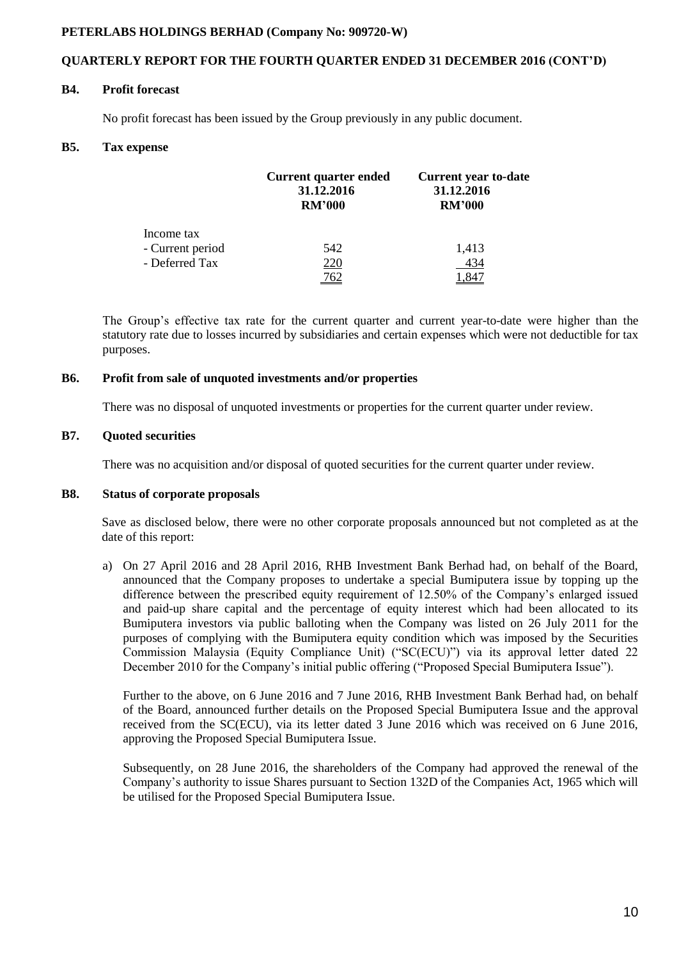## **QUARTERLY REPORT FOR THE FOURTH QUARTER ENDED 31 DECEMBER 2016 (CONT'D)**

#### **B4. Profit forecast**

No profit forecast has been issued by the Group previously in any public document.

#### **B5. Tax expense**

|                  | Current quarter ended<br>31.12.2016<br><b>RM'000</b> | <b>Current year to-date</b><br>31.12.2016<br><b>RM'000</b> |  |
|------------------|------------------------------------------------------|------------------------------------------------------------|--|
| Income tax       |                                                      |                                                            |  |
| - Current period | 542                                                  | 1,413                                                      |  |
| - Deferred Tax   | 220                                                  | 434                                                        |  |
|                  | 762                                                  |                                                            |  |

The Group's effective tax rate for the current quarter and current year-to-date were higher than the statutory rate due to losses incurred by subsidiaries and certain expenses which were not deductible for tax purposes.

#### **B6. Profit from sale of unquoted investments and/or properties**

There was no disposal of unquoted investments or properties for the current quarter under review.

## **B7. Quoted securities**

There was no acquisition and/or disposal of quoted securities for the current quarter under review.

## **B8. Status of corporate proposals**

Save as disclosed below, there were no other corporate proposals announced but not completed as at the date of this report:

a) On 27 April 2016 and 28 April 2016, RHB Investment Bank Berhad had, on behalf of the Board, announced that the Company proposes to undertake a special Bumiputera issue by topping up the difference between the prescribed equity requirement of 12.50% of the Company's enlarged issued and paid-up share capital and the percentage of equity interest which had been allocated to its Bumiputera investors via public balloting when the Company was listed on 26 July 2011 for the purposes of complying with the Bumiputera equity condition which was imposed by the Securities Commission Malaysia (Equity Compliance Unit) ("SC(ECU)") via its approval letter dated 22 December 2010 for the Company's initial public offering ("Proposed Special Bumiputera Issue").

Further to the above, on 6 June 2016 and 7 June 2016, RHB Investment Bank Berhad had, on behalf of the Board, announced further details on the Proposed Special Bumiputera Issue and the approval received from the SC(ECU), via its letter dated 3 June 2016 which was received on 6 June 2016, approving the Proposed Special Bumiputera Issue.

Subsequently, on 28 June 2016, the shareholders of the Company had approved the renewal of the Company's authority to issue Shares pursuant to Section 132D of the Companies Act, 1965 which will be utilised for the Proposed Special Bumiputera Issue.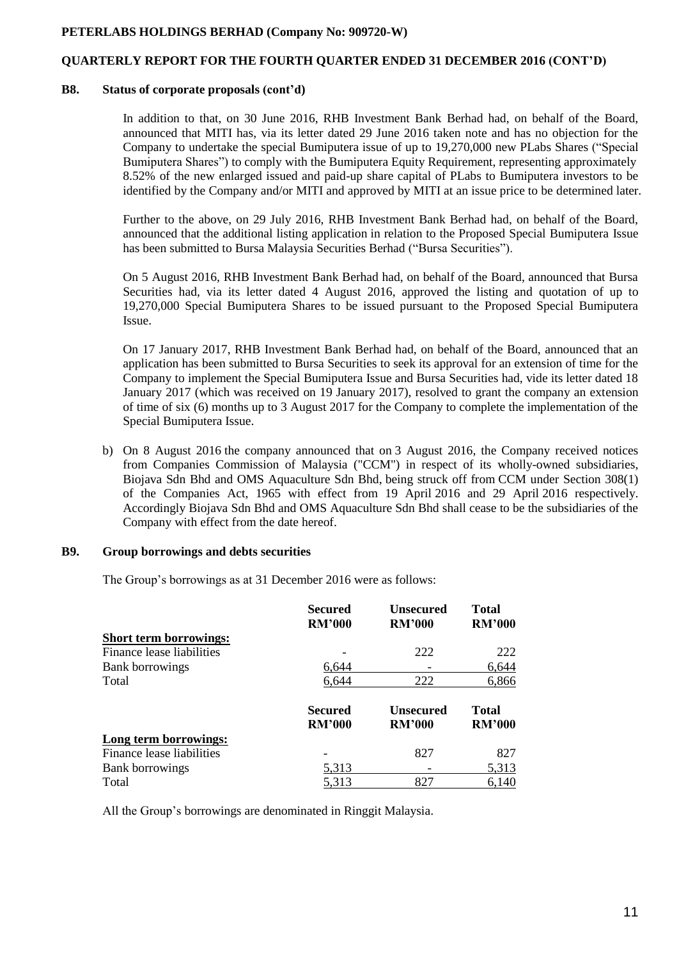## **QUARTERLY REPORT FOR THE FOURTH QUARTER ENDED 31 DECEMBER 2016 (CONT'D)**

#### **B8. Status of corporate proposals (cont'd)**

In addition to that, on 30 June 2016, RHB Investment Bank Berhad had, on behalf of the Board, announced that MITI has, via its letter dated 29 June 2016 taken note and has no objection for the Company to undertake the special Bumiputera issue of up to 19,270,000 new PLabs Shares ("Special Bumiputera Shares") to comply with the Bumiputera Equity Requirement, representing approximately 8.52% of the new enlarged issued and paid-up share capital of PLabs to Bumiputera investors to be identified by the Company and/or MITI and approved by MITI at an issue price to be determined later.

Further to the above, on 29 July 2016, RHB Investment Bank Berhad had, on behalf of the Board, announced that the additional listing application in relation to the Proposed Special Bumiputera Issue has been submitted to Bursa Malaysia Securities Berhad ("Bursa Securities").

On 5 August 2016, RHB Investment Bank Berhad had, on behalf of the Board, announced that Bursa Securities had, via its letter dated 4 August 2016, approved the listing and quotation of up to 19,270,000 Special Bumiputera Shares to be issued pursuant to the Proposed Special Bumiputera Issue.

On 17 January 2017, RHB Investment Bank Berhad had, on behalf of the Board, announced that an application has been submitted to Bursa Securities to seek its approval for an extension of time for the Company to implement the Special Bumiputera Issue and Bursa Securities had, vide its letter dated 18 January 2017 (which was received on 19 January 2017), resolved to grant the company an extension of time of six (6) months up to 3 August 2017 for the Company to complete the implementation of the Special Bumiputera Issue.

b) On 8 August 2016 the company announced that on 3 August 2016, the Company received notices from Companies Commission of Malaysia ("CCM") in respect of its wholly-owned subsidiaries, Biojava Sdn Bhd and OMS Aquaculture Sdn Bhd, being struck off from CCM under Section 308(1) of the Companies Act, 1965 with effect from 19 April 2016 and 29 April 2016 respectively. Accordingly Biojava Sdn Bhd and OMS Aquaculture Sdn Bhd shall cease to be the subsidiaries of the Company with effect from the date hereof.

### **B9. Group borrowings and debts securities**

The Group's borrowings as at 31 December 2016 were as follows:

|                               | <b>Secured</b><br><b>RM'000</b> | <b>Unsecured</b><br><b>RM'000</b> | <b>Total</b><br><b>RM'000</b> |
|-------------------------------|---------------------------------|-----------------------------------|-------------------------------|
| <b>Short term borrowings:</b> |                                 |                                   |                               |
| Finance lease liabilities     |                                 | 222                               | 222                           |
| <b>Bank borrowings</b>        | 6,644                           |                                   | 6,644                         |
| Total                         | 6,644                           | 222                               | 6,866                         |
|                               | <b>Secured</b><br><b>RM'000</b> | <b>Unsecured</b><br><b>RM'000</b> | <b>Total</b><br><b>RM'000</b> |
| Long term borrowings:         |                                 |                                   |                               |
| Finance lease liabilities     |                                 | 827                               | 827                           |
| <b>Bank borrowings</b>        | 5,313                           |                                   | 5,313                         |
| Total                         |                                 |                                   |                               |

All the Group's borrowings are denominated in Ringgit Malaysia.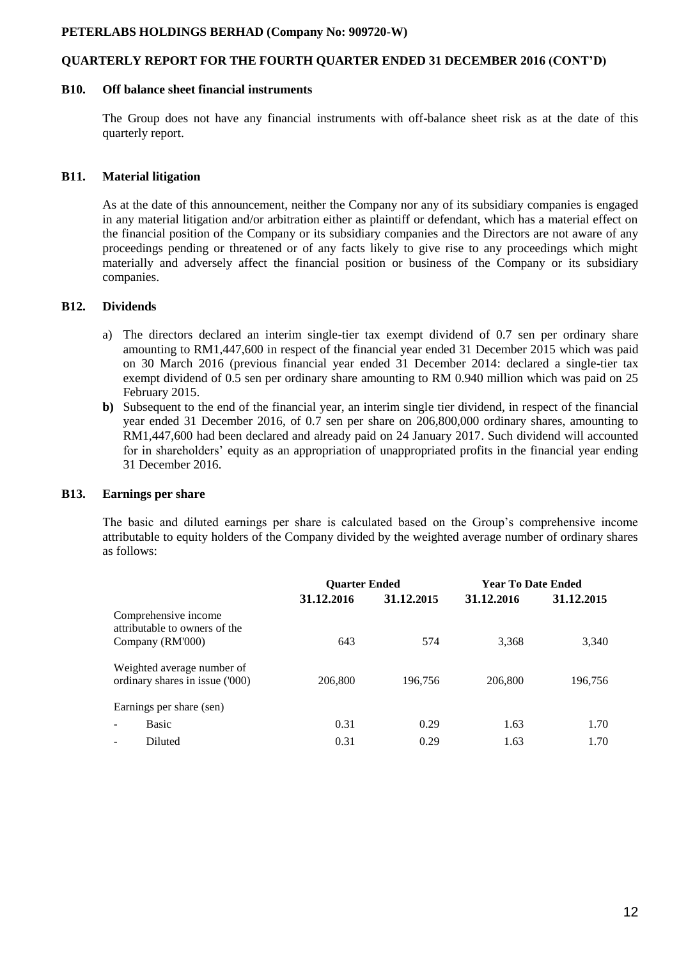## **QUARTERLY REPORT FOR THE FOURTH QUARTER ENDED 31 DECEMBER 2016 (CONT'D)**

#### **B10. Off balance sheet financial instruments**

The Group does not have any financial instruments with off-balance sheet risk as at the date of this quarterly report.

### **B11. Material litigation**

As at the date of this announcement, neither the Company nor any of its subsidiary companies is engaged in any material litigation and/or arbitration either as plaintiff or defendant, which has a material effect on the financial position of the Company or its subsidiary companies and the Directors are not aware of any proceedings pending or threatened or of any facts likely to give rise to any proceedings which might materially and adversely affect the financial position or business of the Company or its subsidiary companies.

## **B12. Dividends**

- a) The directors declared an interim single-tier tax exempt dividend of 0.7 sen per ordinary share amounting to RM1,447,600 in respect of the financial year ended 31 December 2015 which was paid on 30 March 2016 (previous financial year ended 31 December 2014: declared a single-tier tax exempt dividend of 0.5 sen per ordinary share amounting to RM 0.940 million which was paid on 25 February 2015.
- **b)** Subsequent to the end of the financial year, an interim single tier dividend, in respect of the financial year ended 31 December 2016, of 0.7 sen per share on 206,800,000 ordinary shares, amounting to RM1,447,600 had been declared and already paid on 24 January 2017. Such dividend will accounted for in shareholders' equity as an appropriation of unappropriated profits in the financial year ending 31 December 2016.

### **B13. Earnings per share**

The basic and diluted earnings per share is calculated based on the Group's comprehensive income attributable to equity holders of the Company divided by the weighted average number of ordinary shares as follows:

|                                                               | <b>Ouarter Ended</b> |            | <b>Year To Date Ended</b> |            |
|---------------------------------------------------------------|----------------------|------------|---------------------------|------------|
|                                                               | 31.12.2016           | 31.12.2015 | 31.12.2016                | 31.12.2015 |
| Comprehensive income<br>attributable to owners of the         |                      |            |                           |            |
| Company (RM'000)                                              | 643                  | 574        | 3,368                     | 3,340      |
| Weighted average number of<br>ordinary shares in issue ('000) | 206,800              | 196,756    | 206,800                   | 196,756    |
| Earnings per share (sen)                                      |                      |            |                           |            |
| <b>Basic</b>                                                  | 0.31                 | 0.29       | 1.63                      | 1.70       |
| Diluted                                                       | 0.31                 | 0.29       | 1.63                      | 1.70       |